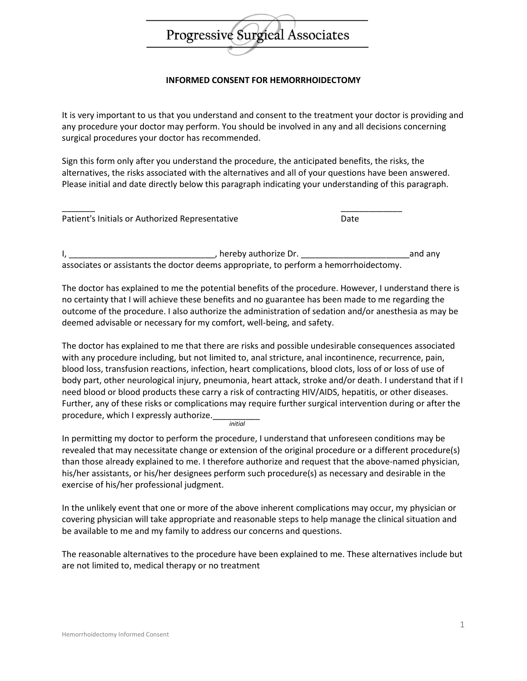

## **INFORMED CONSENT FOR HEMORRHOIDECTOMY**

It is very important to us that you understand and consent to the treatment your doctor is providing and any procedure your doctor may perform. You should be involved in any and all decisions concerning surgical procedures your doctor has recommended.

Sign this form only after you understand the procedure, the anticipated benefits, the risks, the alternatives, the risks associated with the alternatives and all of your questions have been answered. Please initial and date directly below this paragraph indicating your understanding of this paragraph.

| Patient's Initials or Authorized Representative | Date |
|-------------------------------------------------|------|

I, \_\_\_\_\_\_\_\_\_\_\_\_\_\_\_\_\_\_\_\_\_\_\_\_\_\_\_\_\_\_\_, hereby authorize Dr. \_\_\_\_\_\_\_\_\_\_\_\_\_\_\_\_\_\_\_\_\_\_\_and any associates or assistants the doctor deems appropriate, to perform a hemorrhoidectomy.

The doctor has explained to me the potential benefits of the procedure. However, I understand there is no certainty that I will achieve these benefits and no guarantee has been made to me regarding the outcome of the procedure. I also authorize the administration of sedation and/or anesthesia as may be deemed advisable or necessary for my comfort, well-being, and safety.

The doctor has explained to me that there are risks and possible undesirable consequences associated with any procedure including, but not limited to, anal stricture, anal incontinence, recurrence, pain, blood loss, transfusion reactions, infection, heart complications, blood clots, loss of or loss of use of body part, other neurological injury, pneumonia, heart attack, stroke and/or death. I understand that if I need blood or blood products these carry a risk of contracting HIV/AIDS, hepatitis, or other diseases. Further, any of these risks or complications may require further surgical intervention during or after the procedure, which I expressly authorize. *initial*

In permitting my doctor to perform the procedure, I understand that unforeseen conditions may be revealed that may necessitate change or extension of the original procedure or a different procedure(s) than those already explained to me. I therefore authorize and request that the above-named physician, his/her assistants, or his/her designees perform such procedure(s) as necessary and desirable in the exercise of his/her professional judgment.

In the unlikely event that one or more of the above inherent complications may occur, my physician or covering physician will take appropriate and reasonable steps to help manage the clinical situation and be available to me and my family to address our concerns and questions.

The reasonable alternatives to the procedure have been explained to me. These alternatives include but are not limited to, medical therapy or no treatment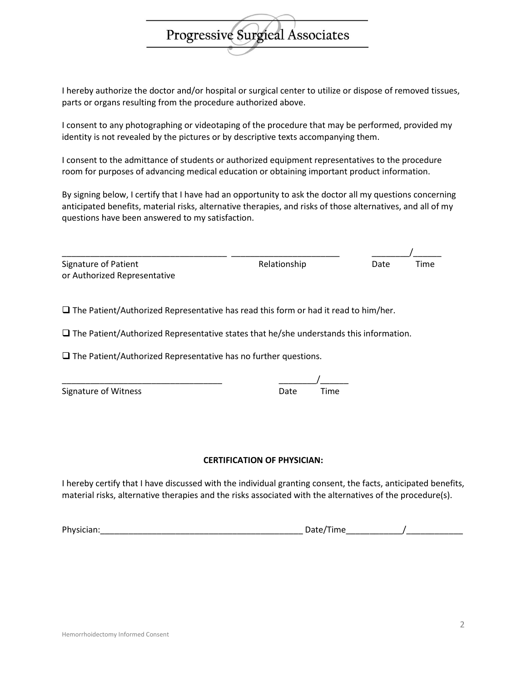I hereby authorize the doctor and/or hospital or surgical center to utilize or dispose of removed tissues, parts or organs resulting from the procedure authorized above.

Progressive Surgical Associates

I consent to any photographing or videotaping of the procedure that may be performed, provided my identity is not revealed by the pictures or by descriptive texts accompanying them.

I consent to the admittance of students or authorized equipment representatives to the procedure room for purposes of advancing medical education or obtaining important product information.

By signing below, I certify that I have had an opportunity to ask the doctor all my questions concerning anticipated benefits, material risks, alternative therapies, and risks of those alternatives, and all of my questions have been answered to my satisfaction.

| Signature of Patient         | Relationship | Date | Time |
|------------------------------|--------------|------|------|
| or Authorized Representative |              |      |      |

 $\square$  The Patient/Authorized Representative has read this form or had it read to him/her.

 $\square$  The Patient/Authorized Representative states that he/she understands this information.

 $\square$  The Patient/Authorized Representative has no further questions.

| Signature of Witness | Date | Time |
|----------------------|------|------|

## **CERTIFICATION OF PHYSICIAN:**

I hereby certify that I have discussed with the individual granting consent, the facts, anticipated benefits, material risks, alternative therapies and the risks associated with the alternatives of the procedure(s).

Physician:\_\_\_\_\_\_\_\_\_\_\_\_\_\_\_\_\_\_\_\_\_\_\_\_\_\_\_\_\_\_\_\_\_\_\_\_\_\_\_\_\_\_\_ Date/Time\_\_\_\_\_\_\_\_\_\_\_\_/\_\_\_\_\_\_\_\_\_\_\_\_